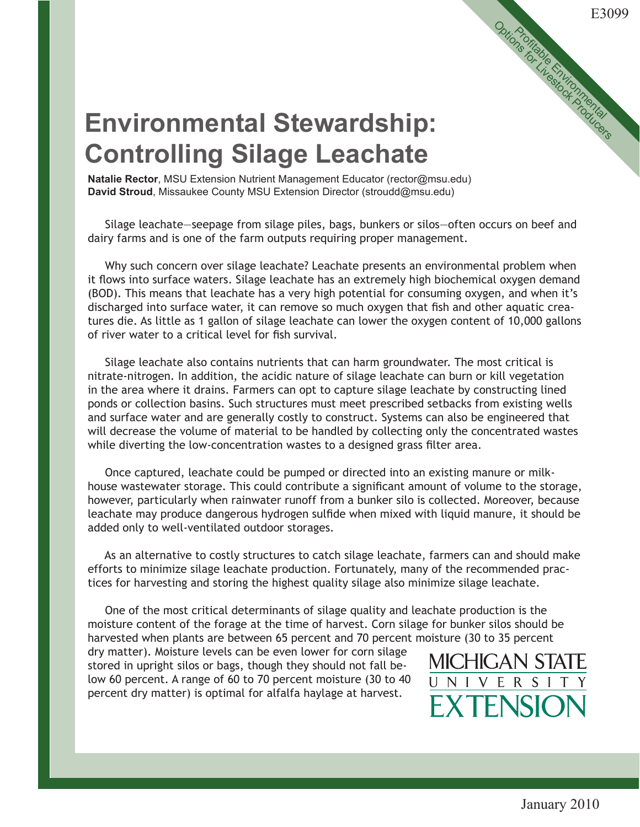## **Environmental Stewardship: Controlling Silage Leachate**

**Natalie Rector**, MSU Extension Nutrient Management Educator (rector@msu.edu) **David Stroud**, Missaukee County MSU Extension Director (stroudd@msu.edu)

 Silage leachate—seepage from silage piles, bags, bunkers or silos—often occurs on beef and dairy farms and is one of the farm outputs requiring proper management.

 Why such concern over silage leachate? Leachate presents an environmental problem when it flows into surface waters. Silage leachate has an extremely high biochemical oxygen demand (BOD). This means that leachate has a very high potential for consuming oxygen, and when it's discharged into surface water, it can remove so much oxygen that fish and other aquatic creatures die. As little as 1 gallon of silage leachate can lower the oxygen content of 10,000 gallons of river water to a critical level for fish survival.

 Silage leachate also contains nutrients that can harm groundwater. The most critical is nitrate-nitrogen. In addition, the acidic nature of silage leachate can burn or kill vegetation in the area where it drains. Farmers can opt to capture silage leachate by constructing lined ponds or collection basins. Such structures must meet prescribed setbacks from existing wells and surface water and are generally costly to construct. Systems can also be engineered that will decrease the volume of material to be handled by collecting only the concentrated wastes while diverting the low-concentration wastes to a designed grass filter area.

 Once captured, leachate could be pumped or directed into an existing manure or milkhouse wastewater storage. This could contribute a significant amount of volume to the storage, however, particularly when rainwater runoff from a bunker silo is collected. Moreover, because leachate may produce dangerous hydrogen sulfide when mixed with liquid manure, it should be added only to well-ventilated outdoor storages.

 As an alternative to costly structures to catch silage leachate, farmers can and should make efforts to minimize silage leachate production. Fortunately, many of the recommended practices for harvesting and storing the highest quality silage also minimize silage leachate.

 One of the most critical determinants of silage quality and leachate production is the moisture content of the forage at the time of harvest. Corn silage for bunker silos should be harvested when plants are between 65 percent and 70 percent moisture (30 to 35 percent

dry matter). Moisture levels can be even lower for corn silage stored in upright silos or bags, though they should not fall below 60 percent. A range of 60 to 70 percent moisture (30 to 40 percent dry matter) is optimal for alfalfa haylage at harvest.